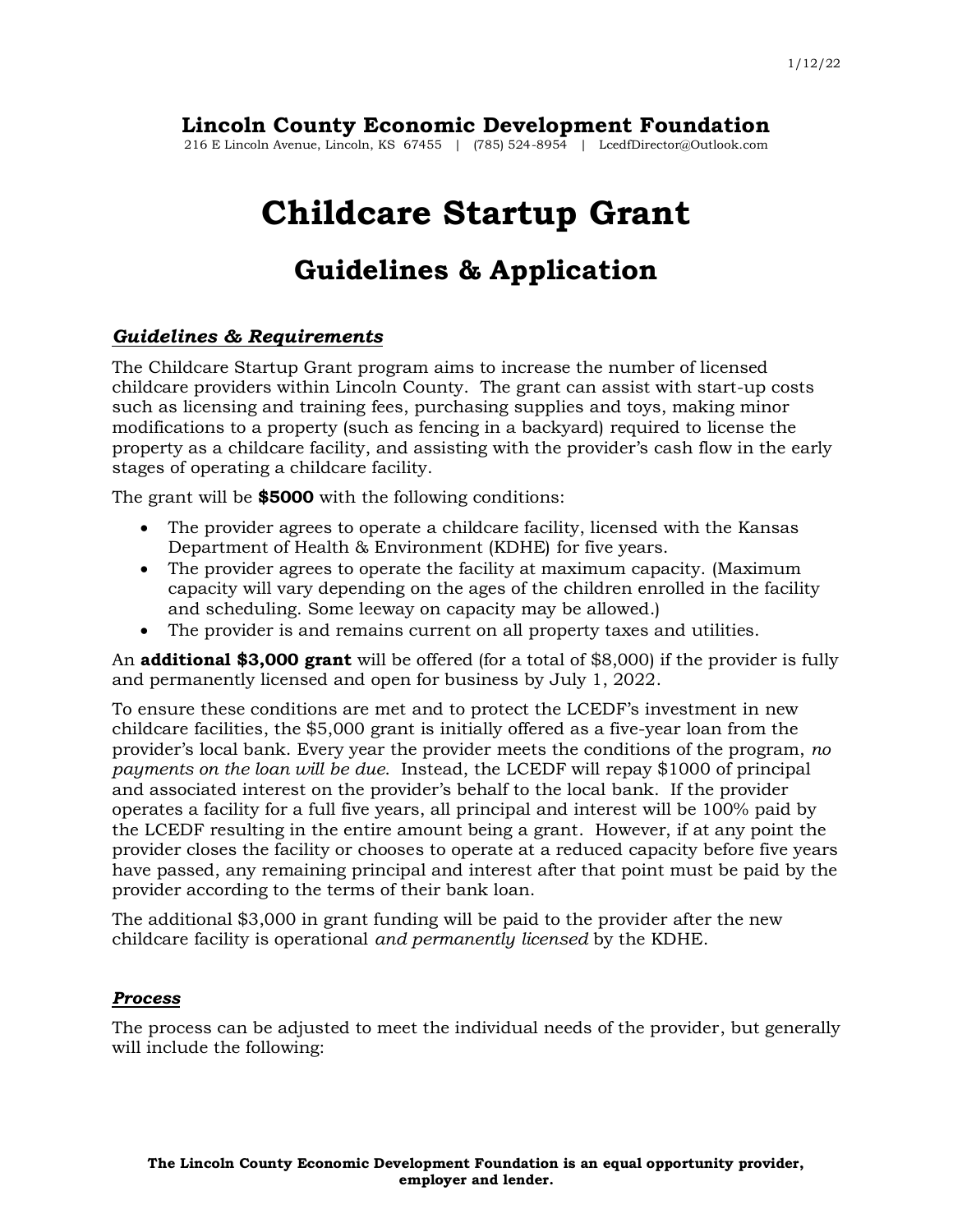# **Lincoln County Economic Development Foundation**

216 E Lincoln Avenue, Lincoln, KS 67455 | (785) 524-8954 | LcedfDirector@Outlook.com

# **Childcare Startup Grant**

# **Guidelines & Application**

### *Guidelines & Requirements*

The Childcare Startup Grant program aims to increase the number of licensed childcare providers within Lincoln County. The grant can assist with start-up costs such as licensing and training fees, purchasing supplies and toys, making minor modifications to a property (such as fencing in a backyard) required to license the property as a childcare facility, and assisting with the provider's cash flow in the early stages of operating a childcare facility.

The grant will be **\$5000** with the following conditions:

- The provider agrees to operate a childcare facility, licensed with the Kansas Department of Health & Environment (KDHE) for five years.
- The provider agrees to operate the facility at maximum capacity. (Maximum capacity will vary depending on the ages of the children enrolled in the facility and scheduling. Some leeway on capacity may be allowed.)
- The provider is and remains current on all property taxes and utilities.

An **additional \$3,000 grant** will be offered (for a total of \$8,000) if the provider is fully and permanently licensed and open for business by July 1, 2022.

To ensure these conditions are met and to protect the LCEDF's investment in new childcare facilities, the \$5,000 grant is initially offered as a five-year loan from the provider's local bank. Every year the provider meets the conditions of the program, *no payments on the loan will be due*. Instead, the LCEDF will repay \$1000 of principal and associated interest on the provider's behalf to the local bank. If the provider operates a facility for a full five years, all principal and interest will be 100% paid by the LCEDF resulting in the entire amount being a grant. However, if at any point the provider closes the facility or chooses to operate at a reduced capacity before five years have passed, any remaining principal and interest after that point must be paid by the provider according to the terms of their bank loan.

The additional \$3,000 in grant funding will be paid to the provider after the new childcare facility is operational *and permanently licensed* by the KDHE.

#### *Process*

The process can be adjusted to meet the individual needs of the provider, but generally will include the following: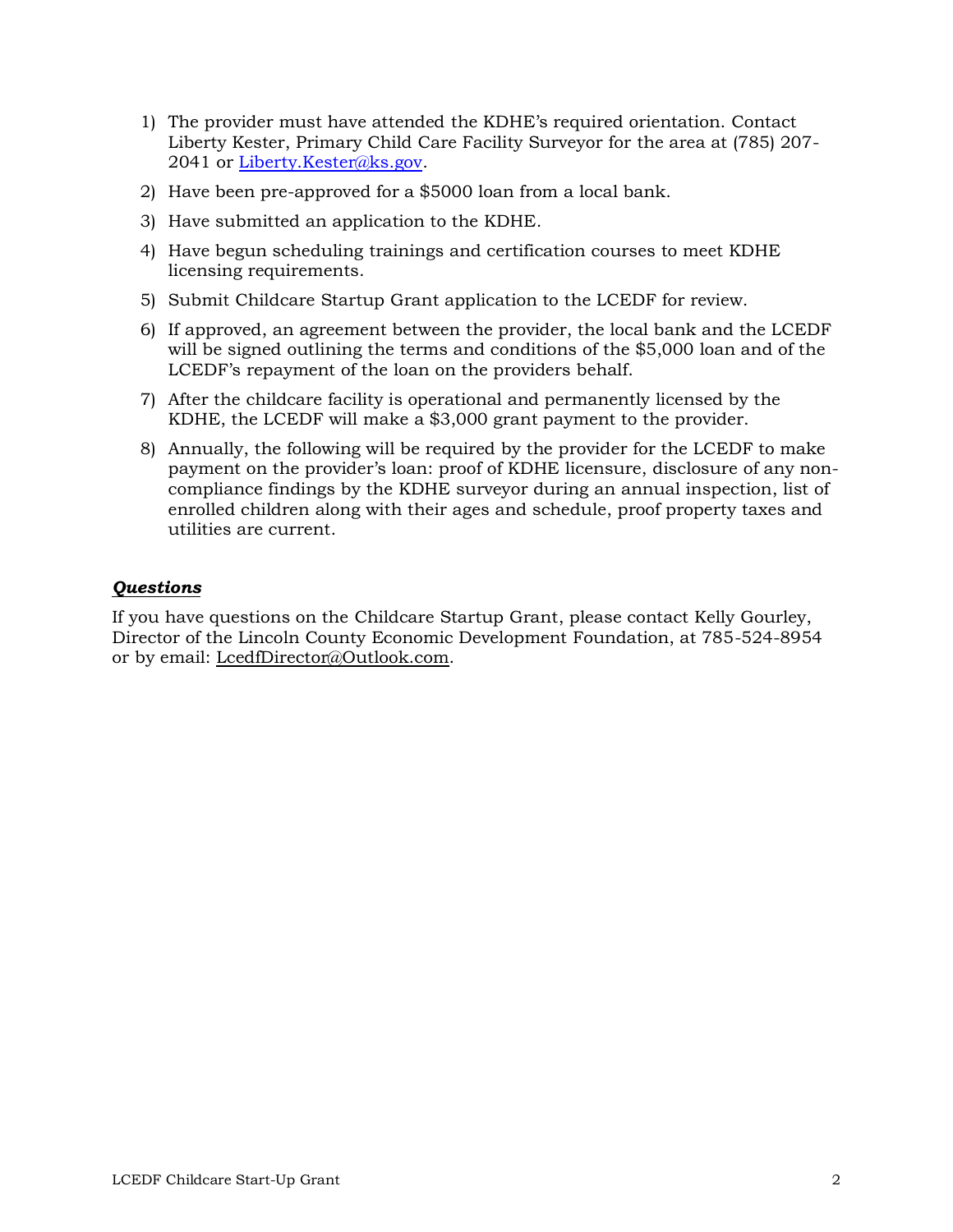- 1) The provider must have attended the KDHE's required orientation. Contact Liberty Kester, Primary Child Care Facility Surveyor for the area at (785) 207- 2041 or [Liberty.Kester@ks.gov.](mailto:Liberty.Kester@ks.gov)
- 2) Have been pre-approved for a \$5000 loan from a local bank.
- 3) Have submitted an application to the KDHE.
- 4) Have begun scheduling trainings and certification courses to meet KDHE licensing requirements.
- 5) Submit Childcare Startup Grant application to the LCEDF for review.
- 6) If approved, an agreement between the provider, the local bank and the LCEDF will be signed outlining the terms and conditions of the \$5,000 loan and of the LCEDF's repayment of the loan on the providers behalf.
- 7) After the childcare facility is operational and permanently licensed by the KDHE, the LCEDF will make a \$3,000 grant payment to the provider.
- 8) Annually, the following will be required by the provider for the LCEDF to make payment on the provider's loan: proof of KDHE licensure, disclosure of any noncompliance findings by the KDHE surveyor during an annual inspection, list of enrolled children along with their ages and schedule, proof property taxes and utilities are current.

### *Questions*

If you have questions on the Childcare Startup Grant, please contact Kelly Gourley, Director of the Lincoln County Economic Development Foundation, at 785-524-8954 or by email: [LcedfDirector@Outlook.com.](mailto:LcedfDirector@Outlook.com)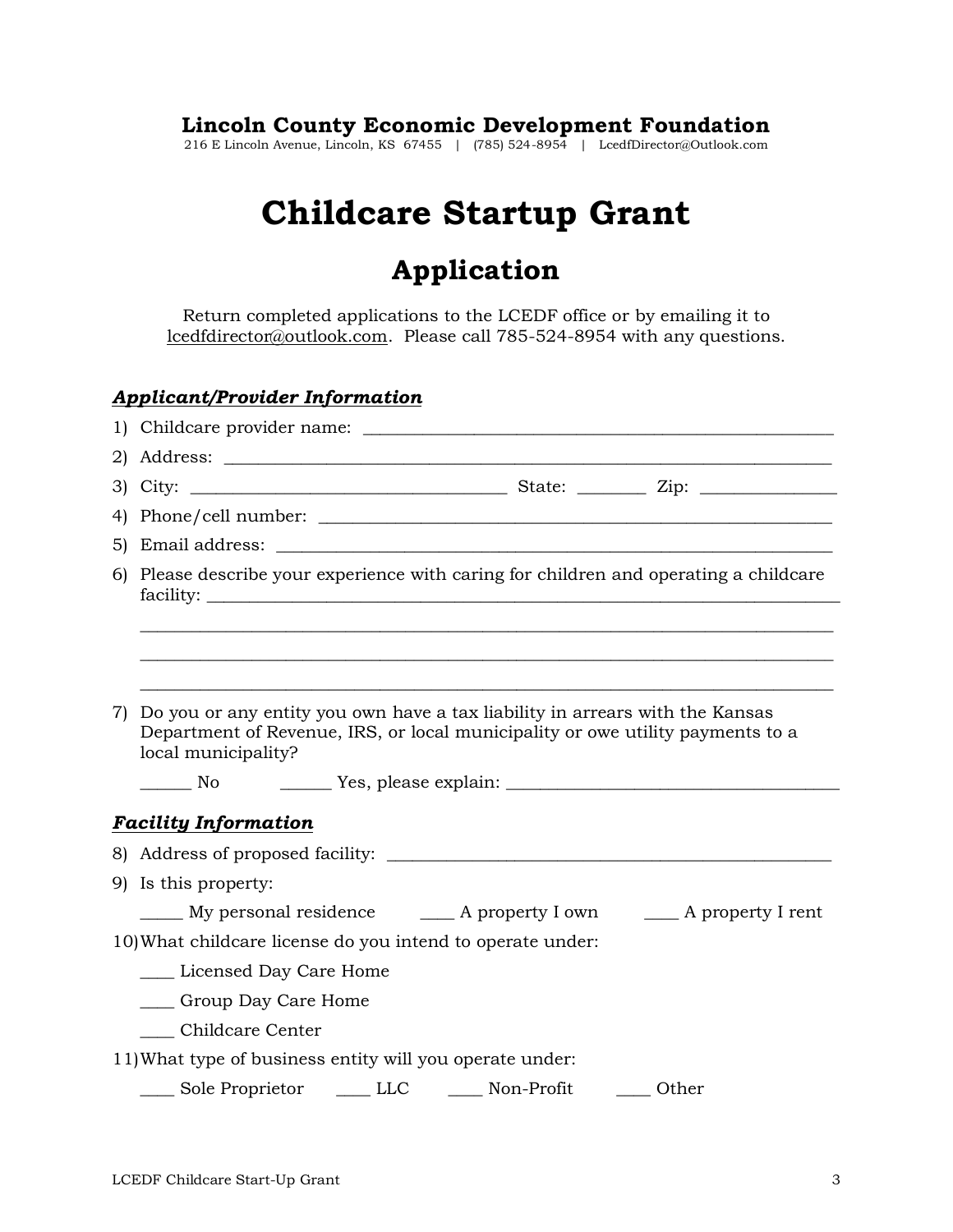## **Lincoln County Economic Development Foundation**

216 E Lincoln Avenue, Lincoln, KS 67455 | (785) 524-8954 | LcedfDirector@Outlook.com

# **Childcare Startup Grant**

# **Application**

Return completed applications to the LCEDF office or by emailing it to [lcedfdirector@outlook.com.](mailto:lcedfdirector@outlook.com) Please call 785-524-8954 with any questions.

## *Applicant/Provider Information*

|                                                                                                                                                                   | 6) Please describe your experience with caring for children and operating a childcare |  |  |
|-------------------------------------------------------------------------------------------------------------------------------------------------------------------|---------------------------------------------------------------------------------------|--|--|
|                                                                                                                                                                   |                                                                                       |  |  |
|                                                                                                                                                                   |                                                                                       |  |  |
|                                                                                                                                                                   |                                                                                       |  |  |
| 7) Do you or any entity you own have a tax liability in arrears with the Kansas<br>Department of Revenue, IRS, or local municipality or owe utility payments to a |                                                                                       |  |  |
|                                                                                                                                                                   | local municipality?                                                                   |  |  |
|                                                                                                                                                                   | <b>No</b>                                                                             |  |  |
|                                                                                                                                                                   | <b>Facility Information</b>                                                           |  |  |
|                                                                                                                                                                   |                                                                                       |  |  |
|                                                                                                                                                                   | 9) Is this property:                                                                  |  |  |
|                                                                                                                                                                   |                                                                                       |  |  |
|                                                                                                                                                                   | 10) What childcare license do you intend to operate under:                            |  |  |
|                                                                                                                                                                   | ____ Licensed Day Care Home                                                           |  |  |
|                                                                                                                                                                   | ____ Group Day Care Home                                                              |  |  |
|                                                                                                                                                                   | Childcare Center                                                                      |  |  |
|                                                                                                                                                                   | 11) What type of business entity will you operate under:                              |  |  |
|                                                                                                                                                                   | _____ Sole Proprietor ______ LLC ________ Non-Profit _______ Other                    |  |  |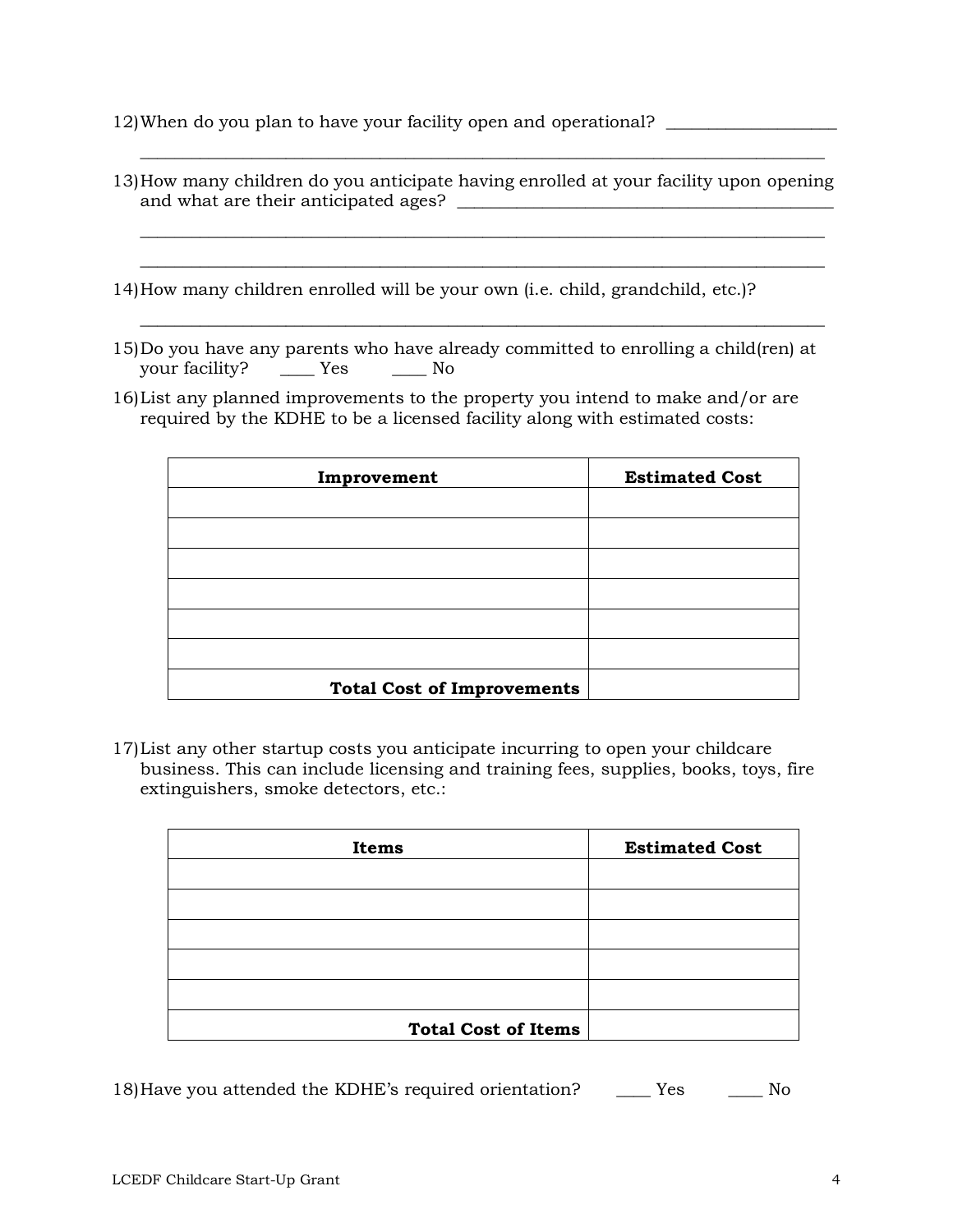12)When do you plan to have your facility open and operational? \_\_\_\_\_\_\_\_\_\_\_\_\_\_\_\_

| and what are their anticipated ages? | 13) How many children do you anticipate having enrolled at your facility upon opening |
|--------------------------------------|---------------------------------------------------------------------------------------|
|                                      |                                                                                       |
|                                      |                                                                                       |

14)How many children enrolled will be your own (i.e. child, grandchild, etc.)?

15)Do you have any parents who have already committed to enrolling a child(ren) at your facility? \_\_\_\_\_\_ Yes \_\_\_\_\_\_ No

\_\_\_\_\_\_\_\_\_\_\_\_\_\_\_\_\_\_\_\_\_\_\_\_\_\_\_\_\_\_\_\_\_\_\_\_\_\_\_\_\_\_\_\_\_\_\_\_\_\_\_\_\_\_\_\_\_\_\_\_\_\_\_\_\_\_\_\_\_\_\_\_\_\_\_\_\_\_\_\_

16)List any planned improvements to the property you intend to make and/or are required by the KDHE to be a licensed facility along with estimated costs:

| Improvement                       | <b>Estimated Cost</b> |
|-----------------------------------|-----------------------|
|                                   |                       |
|                                   |                       |
|                                   |                       |
|                                   |                       |
|                                   |                       |
|                                   |                       |
| <b>Total Cost of Improvements</b> |                       |

17)List any other startup costs you anticipate incurring to open your childcare business. This can include licensing and training fees, supplies, books, toys, fire extinguishers, smoke detectors, etc.:

| Items                      | <b>Estimated Cost</b> |
|----------------------------|-----------------------|
|                            |                       |
|                            |                       |
|                            |                       |
|                            |                       |
|                            |                       |
| <b>Total Cost of Items</b> |                       |

18)Have you attended the KDHE's required orientation? \_\_\_\_ Yes \_\_\_\_ No